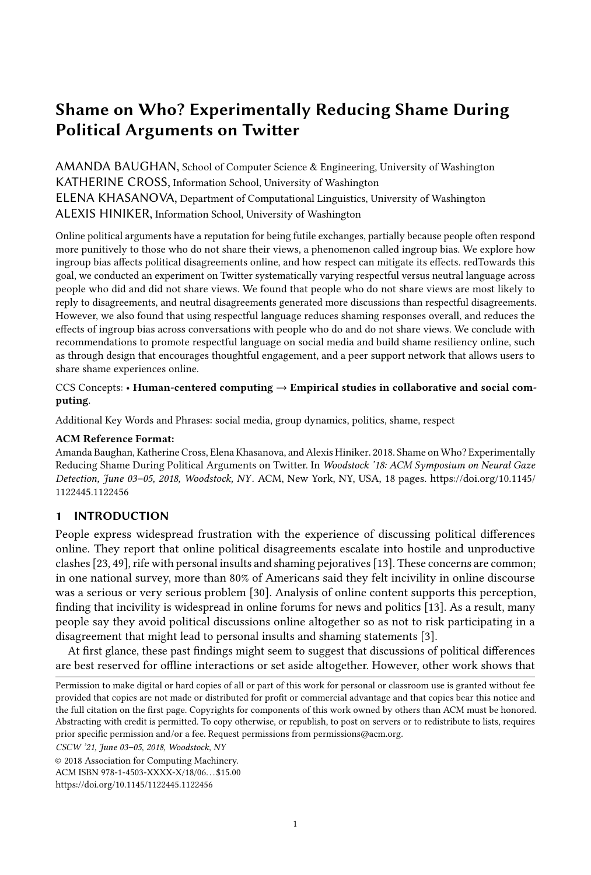# Shame on Who? Experimentally Reducing Shame During Political Arguments on Twitter

AMANDA BAUGHAN, School of Computer Science & Engineering, University of Washington KATHERINE CROSS, Information School, University of Washington ELENA KHASANOVA, Department of Computational Linguistics, University of Washington ALEXIS HINIKER, Information School, University of Washington

Online political arguments have a reputation for being futile exchanges, partially because people often respond more punitively to those who do not share their views, a phenomenon called ingroup bias. We explore how ingroup bias affects political disagreements online, and how respect can mitigate its effects. redTowards this goal, we conducted an experiment on Twitter systematically varying respectful versus neutral language across people who did and did not share views. We found that people who do not share views are most likely to reply to disagreements, and neutral disagreements generated more discussions than respectful disagreements. However, we also found that using respectful language reduces shaming responses overall, and reduces the effects of ingroup bias across conversations with people who do and do not share views. We conclude with recommendations to promote respectful language on social media and build shame resiliency online, such as through design that encourages thoughtful engagement, and a peer support network that allows users to share shame experiences online.

### CCS Concepts: • Human-centered computing  $\rightarrow$  Empirical studies in collaborative and social computing.

Additional Key Words and Phrases: social media, group dynamics, politics, shame, respect

#### ACM Reference Format:

Amanda Baughan, Katherine Cross, Elena Khasanova, and Alexis Hiniker. 2018. Shame on Who? Experimentally Reducing Shame During Political Arguments on Twitter. In Woodstock '18: ACM Symposium on Neural Gaze Detection, June 03–05, 2018, Woodstock, NY . ACM, New York, NY, USA, [18](#page-17-0) pages. [https://doi.org/10.1145/](https://doi.org/10.1145/1122445.1122456) [1122445.1122456](https://doi.org/10.1145/1122445.1122456)

# 1 INTRODUCTION

People express widespread frustration with the experience of discussing political differences online. They report that online political disagreements escalate into hostile and unproductive clashes [\[23,](#page-15-0) [49\]](#page-17-1), rife with personal insults and shaming pejoratives [\[13\]](#page-15-1). These concerns are common; in one national survey, more than 80% of Americans said they felt incivility in online discourse was a serious or very serious problem [\[30\]](#page-16-0). Analysis of online content supports this perception, finding that incivility is widespread in online forums for news and politics [\[13\]](#page-15-1). As a result, many people say they avoid political discussions online altogether so as not to risk participating in a disagreement that might lead to personal insults and shaming statements [\[3\]](#page-15-2).

At first glance, these past findings might seem to suggest that discussions of political differences are best reserved for offline interactions or set aside altogether. However, other work shows that

CSCW '21, June 03–05, 2018, Woodstock, NY

Permission to make digital or hard copies of all or part of this work for personal or classroom use is granted without fee provided that copies are not made or distributed for profit or commercial advantage and that copies bear this notice and the full citation on the first page. Copyrights for components of this work owned by others than ACM must be honored. Abstracting with credit is permitted. To copy otherwise, or republish, to post on servers or to redistribute to lists, requires prior specific permission and/or a fee. Request permissions from permissions@acm.org.

<sup>©</sup> 2018 Association for Computing Machinery.

ACM ISBN 978-1-4503-XXXX-X/18/06. . . \$15.00

<https://doi.org/10.1145/1122445.1122456>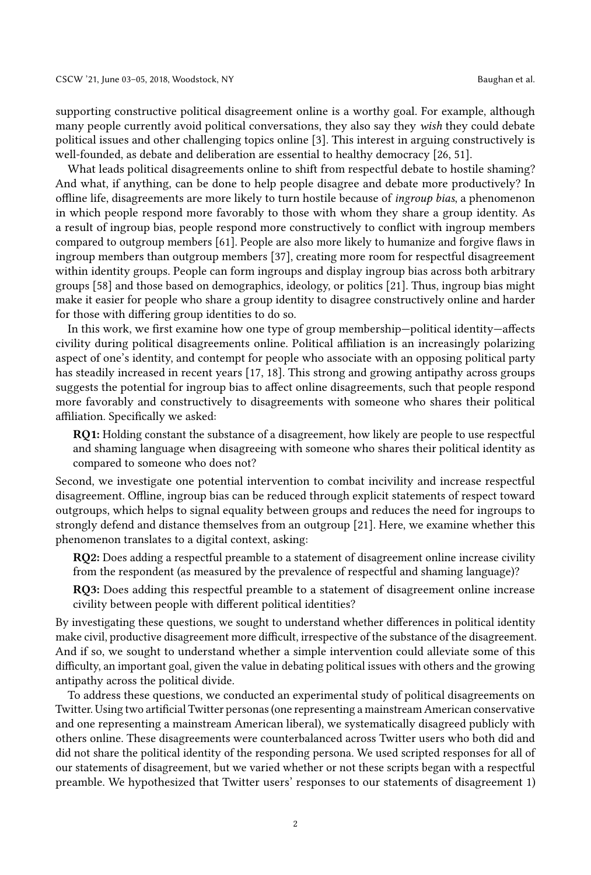supporting constructive political disagreement online is a worthy goal. For example, although many people currently avoid political conversations, they also say they wish they could debate political issues and other challenging topics online [\[3\]](#page-15-2). This interest in arguing constructively is well-founded, as debate and deliberation are essential to healthy democracy [\[26,](#page-16-1) [51\]](#page-17-2).

What leads political disagreements online to shift from respectful debate to hostile shaming? And what, if anything, can be done to help people disagree and debate more productively? In offline life, disagreements are more likely to turn hostile because of ingroup bias, a phenomenon in which people respond more favorably to those with whom they share a group identity. As a result of ingroup bias, people respond more constructively to conflict with ingroup members compared to outgroup members [\[61\]](#page-17-3). People are also more likely to humanize and forgive flaws in ingroup members than outgroup members [\[37\]](#page-16-2), creating more room for respectful disagreement within identity groups. People can form ingroups and display ingroup bias across both arbitrary groups [\[58\]](#page-17-4) and those based on demographics, ideology, or politics [\[21\]](#page-15-3). Thus, ingroup bias might make it easier for people who share a group identity to disagree constructively online and harder for those with differing group identities to do so.

In this work, we first examine how one type of group membership—political identity—affects civility during political disagreements online. Political affiliation is an increasingly polarizing aspect of one's identity, and contempt for people who associate with an opposing political party has steadily increased in recent years [\[17,](#page-15-4) [18\]](#page-15-5). This strong and growing antipathy across groups suggests the potential for ingroup bias to affect online disagreements, such that people respond more favorably and constructively to disagreements with someone who shares their political affiliation. Specifically we asked:

RQ1: Holding constant the substance of a disagreement, how likely are people to use respectful and shaming language when disagreeing with someone who shares their political identity as compared to someone who does not?

Second, we investigate one potential intervention to combat incivility and increase respectful disagreement. Offline, ingroup bias can be reduced through explicit statements of respect toward outgroups, which helps to signal equality between groups and reduces the need for ingroups to strongly defend and distance themselves from an outgroup [\[21\]](#page-15-3). Here, we examine whether this phenomenon translates to a digital context, asking:

RQ2: Does adding a respectful preamble to a statement of disagreement online increase civility from the respondent (as measured by the prevalence of respectful and shaming language)?

RQ3: Does adding this respectful preamble to a statement of disagreement online increase civility between people with different political identities?

By investigating these questions, we sought to understand whether differences in political identity make civil, productive disagreement more difficult, irrespective of the substance of the disagreement. And if so, we sought to understand whether a simple intervention could alleviate some of this difficulty, an important goal, given the value in debating political issues with others and the growing antipathy across the political divide.

To address these questions, we conducted an experimental study of political disagreements on Twitter. Using two artificial Twitter personas (one representing a mainstream American conservative and one representing a mainstream American liberal), we systematically disagreed publicly with others online. These disagreements were counterbalanced across Twitter users who both did and did not share the political identity of the responding persona. We used scripted responses for all of our statements of disagreement, but we varied whether or not these scripts began with a respectful preamble. We hypothesized that Twitter users' responses to our statements of disagreement 1)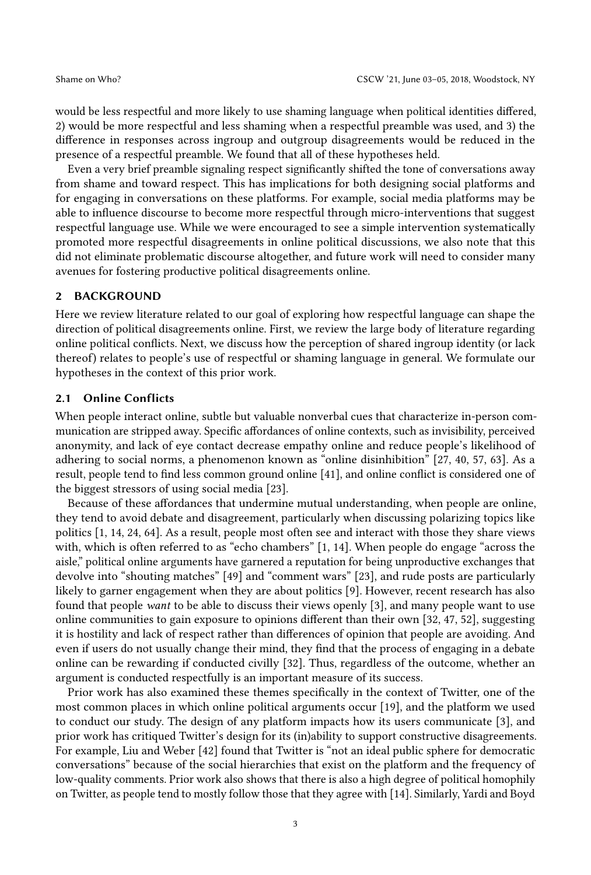would be less respectful and more likely to use shaming language when political identities differed, 2) would be more respectful and less shaming when a respectful preamble was used, and 3) the difference in responses across ingroup and outgroup disagreements would be reduced in the presence of a respectful preamble. We found that all of these hypotheses held.

Even a very brief preamble signaling respect significantly shifted the tone of conversations away from shame and toward respect. This has implications for both designing social platforms and for engaging in conversations on these platforms. For example, social media platforms may be able to influence discourse to become more respectful through micro-interventions that suggest respectful language use. While we were encouraged to see a simple intervention systematically promoted more respectful disagreements in online political discussions, we also note that this did not eliminate problematic discourse altogether, and future work will need to consider many avenues for fostering productive political disagreements online.

#### 2 BACKGROUND

Here we review literature related to our goal of exploring how respectful language can shape the direction of political disagreements online. First, we review the large body of literature regarding online political conflicts. Next, we discuss how the perception of shared ingroup identity (or lack thereof) relates to people's use of respectful or shaming language in general. We formulate our hypotheses in the context of this prior work.

#### 2.1 Online Conflicts

When people interact online, subtle but valuable nonverbal cues that characterize in-person communication are stripped away. Specific affordances of online contexts, such as invisibility, perceived anonymity, and lack of eye contact decrease empathy online and reduce people's likelihood of adhering to social norms, a phenomenon known as "online disinhibition" [\[27,](#page-16-3) [40,](#page-16-4) [57,](#page-17-5) [63\]](#page-17-6). As a result, people tend to find less common ground online [\[41\]](#page-16-5), and online conflict is considered one of the biggest stressors of using social media [\[23\]](#page-15-0).

Because of these affordances that undermine mutual understanding, when people are online, they tend to avoid debate and disagreement, particularly when discussing polarizing topics like politics [\[1,](#page-15-6) [14,](#page-15-7) [24,](#page-16-6) [64\]](#page-17-7). As a result, people most often see and interact with those they share views with, which is often referred to as "echo chambers" [\[1,](#page-15-6) [14\]](#page-15-7). When people do engage "across the aisle," political online arguments have garnered a reputation for being unproductive exchanges that devolve into "shouting matches" [\[49\]](#page-17-1) and "comment wars" [\[23\]](#page-15-0), and rude posts are particularly likely to garner engagement when they are about politics [\[9\]](#page-15-8). However, recent research has also found that people want to be able to discuss their views openly [\[3\]](#page-15-2), and many people want to use online communities to gain exposure to opinions different than their own [\[32,](#page-16-7) [47,](#page-16-8) [52\]](#page-17-8), suggesting it is hostility and lack of respect rather than differences of opinion that people are avoiding. And even if users do not usually change their mind, they find that the process of engaging in a debate online can be rewarding if conducted civilly [\[32\]](#page-16-7). Thus, regardless of the outcome, whether an argument is conducted respectfully is an important measure of its success.

Prior work has also examined these themes specifically in the context of Twitter, one of the most common places in which online political arguments occur [\[19\]](#page-15-9), and the platform we used to conduct our study. The design of any platform impacts how its users communicate [\[3\]](#page-15-2), and prior work has critiqued Twitter's design for its (in)ability to support constructive disagreements. For example, Liu and Weber [\[42\]](#page-16-9) found that Twitter is "not an ideal public sphere for democratic conversations" because of the social hierarchies that exist on the platform and the frequency of low-quality comments. Prior work also shows that there is also a high degree of political homophily on Twitter, as people tend to mostly follow those that they agree with [\[14\]](#page-15-7). Similarly, Yardi and Boyd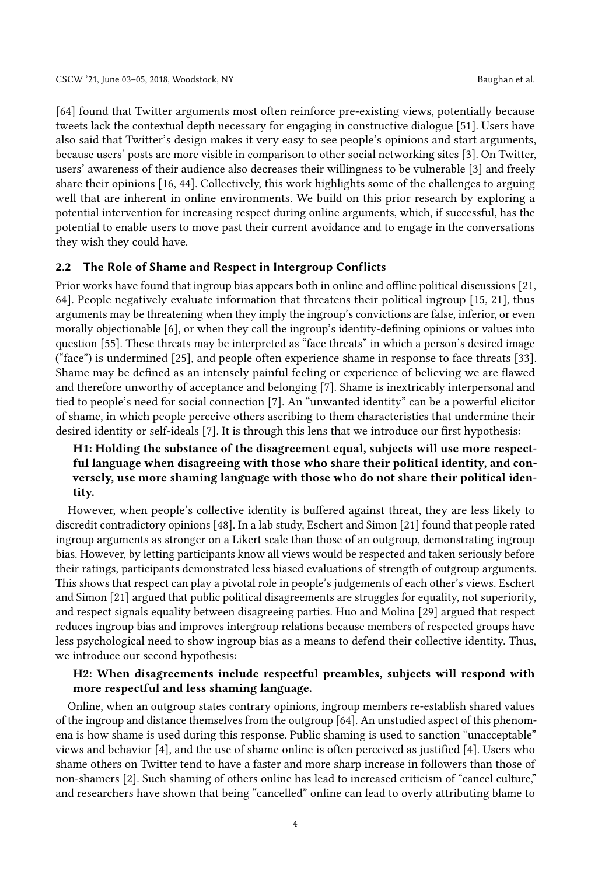[\[64\]](#page-17-7) found that Twitter arguments most often reinforce pre-existing views, potentially because tweets lack the contextual depth necessary for engaging in constructive dialogue [\[51\]](#page-17-2). Users have also said that Twitter's design makes it very easy to see people's opinions and start arguments, because users' posts are more visible in comparison to other social networking sites [\[3\]](#page-15-2). On Twitter, users' awareness of their audience also decreases their willingness to be vulnerable [\[3\]](#page-15-2) and freely share their opinions [\[16,](#page-15-10) [44\]](#page-16-10). Collectively, this work highlights some of the challenges to arguing well that are inherent in online environments. We build on this prior research by exploring a potential intervention for increasing respect during online arguments, which, if successful, has the potential to enable users to move past their current avoidance and to engage in the conversations they wish they could have.

### 2.2 The Role of Shame and Respect in Intergroup Conflicts

Prior works have found that ingroup bias appears both in online and offline political discussions [\[21,](#page-15-3) [64\]](#page-17-7). People negatively evaluate information that threatens their political ingroup [\[15,](#page-15-11) [21\]](#page-15-3), thus arguments may be threatening when they imply the ingroup's convictions are false, inferior, or even morally objectionable [\[6\]](#page-15-12), or when they call the ingroup's identity-defining opinions or values into question [\[55\]](#page-17-9). These threats may be interpreted as "face threats" in which a person's desired image ("face") is undermined [\[25\]](#page-16-11), and people often experience shame in response to face threats [\[33\]](#page-16-12). Shame may be defined as an intensely painful feeling or experience of believing we are flawed and therefore unworthy of acceptance and belonging [\[7\]](#page-15-13). Shame is inextricably interpersonal and tied to people's need for social connection [\[7\]](#page-15-13). An "unwanted identity" can be a powerful elicitor of shame, in which people perceive others ascribing to them characteristics that undermine their desired identity or self-ideals [\[7\]](#page-15-13). It is through this lens that we introduce our first hypothesis:

# H1: Holding the substance of the disagreement equal, subjects will use more respectful language when disagreeing with those who share their political identity, and conversely, use more shaming language with those who do not share their political identity.

However, when people's collective identity is buffered against threat, they are less likely to discredit contradictory opinions [\[48\]](#page-16-13). In a lab study, Eschert and Simon [\[21\]](#page-15-3) found that people rated ingroup arguments as stronger on a Likert scale than those of an outgroup, demonstrating ingroup bias. However, by letting participants know all views would be respected and taken seriously before their ratings, participants demonstrated less biased evaluations of strength of outgroup arguments. This shows that respect can play a pivotal role in people's judgements of each other's views. Eschert and Simon [\[21\]](#page-15-3) argued that public political disagreements are struggles for equality, not superiority, and respect signals equality between disagreeing parties. Huo and Molina [\[29\]](#page-16-14) argued that respect reduces ingroup bias and improves intergroup relations because members of respected groups have less psychological need to show ingroup bias as a means to defend their collective identity. Thus, we introduce our second hypothesis:

# H2: When disagreements include respectful preambles, subjects will respond with more respectful and less shaming language.

Online, when an outgroup states contrary opinions, ingroup members re-establish shared values of the ingroup and distance themselves from the outgroup [\[64\]](#page-17-7). An unstudied aspect of this phenomena is how shame is used during this response. Public shaming is used to sanction "unacceptable" views and behavior [\[4\]](#page-15-14), and the use of shame online is often perceived as justified [\[4\]](#page-15-14). Users who shame others on Twitter tend to have a faster and more sharp increase in followers than those of non-shamers [\[2\]](#page-15-15). Such shaming of others online has lead to increased criticism of "cancel culture," and researchers have shown that being "cancelled" online can lead to overly attributing blame to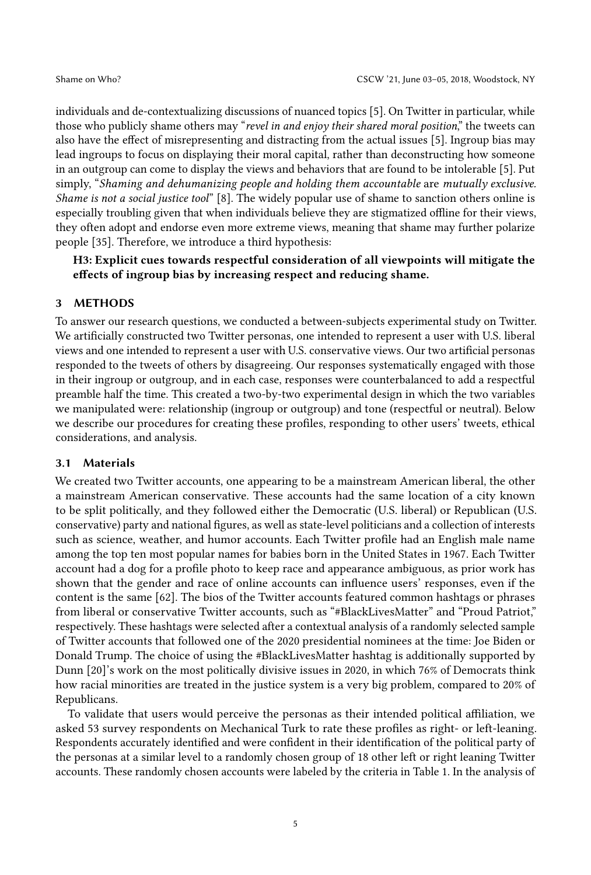individuals and de-contextualizing discussions of nuanced topics [\[5\]](#page-15-16). On Twitter in particular, while those who publicly shame others may "revel in and enjoy their shared moral position," the tweets can also have the effect of misrepresenting and distracting from the actual issues [\[5\]](#page-15-16). Ingroup bias may lead ingroups to focus on displaying their moral capital, rather than deconstructing how someone in an outgroup can come to display the views and behaviors that are found to be intolerable [\[5\]](#page-15-16). Put simply, "Shaming and dehumanizing people and holding them accountable are mutually exclusive. Shame is not a social justice tool" [\[8\]](#page-15-17). The widely popular use of shame to sanction others online is especially troubling given that when individuals believe they are stigmatized offline for their views, they often adopt and endorse even more extreme views, meaning that shame may further polarize people [\[35\]](#page-16-15). Therefore, we introduce a third hypothesis:

H3: Explicit cues towards respectful consideration of all viewpoints will mitigate the effects of ingroup bias by increasing respect and reducing shame.

# 3 METHODS

To answer our research questions, we conducted a between-subjects experimental study on Twitter. We artificially constructed two Twitter personas, one intended to represent a user with U.S. liberal views and one intended to represent a user with U.S. conservative views. Our two artificial personas responded to the tweets of others by disagreeing. Our responses systematically engaged with those in their ingroup or outgroup, and in each case, responses were counterbalanced to add a respectful preamble half the time. This created a two-by-two experimental design in which the two variables we manipulated were: relationship (ingroup or outgroup) and tone (respectful or neutral). Below we describe our procedures for creating these profiles, responding to other users' tweets, ethical considerations, and analysis.

# 3.1 Materials

We created two Twitter accounts, one appearing to be a mainstream American liberal, the other a mainstream American conservative. These accounts had the same location of a city known to be split politically, and they followed either the Democratic (U.S. liberal) or Republican (U.S. conservative) party and national figures, as well as state-level politicians and a collection of interests such as science, weather, and humor accounts. Each Twitter profile had an English male name among the top ten most popular names for babies born in the United States in 1967. Each Twitter account had a dog for a profile photo to keep race and appearance ambiguous, as prior work has shown that the gender and race of online accounts can influence users' responses, even if the content is the same [\[62\]](#page-17-10). The bios of the Twitter accounts featured common hashtags or phrases from liberal or conservative Twitter accounts, such as "#BlackLivesMatter" and "Proud Patriot," respectively. These hashtags were selected after a contextual analysis of a randomly selected sample of Twitter accounts that followed one of the 2020 presidential nominees at the time: Joe Biden or Donald Trump. The choice of using the #BlackLivesMatter hashtag is additionally supported by Dunn [\[20\]](#page-15-18)'s work on the most politically divisive issues in 2020, in which 76% of Democrats think how racial minorities are treated in the justice system is a very big problem, compared to 20% of Republicans.

To validate that users would perceive the personas as their intended political affiliation, we asked 53 survey respondents on Mechanical Turk to rate these profiles as right- or left-leaning. Respondents accurately identified and were confident in their identification of the political party of the personas at a similar level to a randomly chosen group of 18 other left or right leaning Twitter accounts. These randomly chosen accounts were labeled by the criteria in Table [1.](#page-5-0) In the analysis of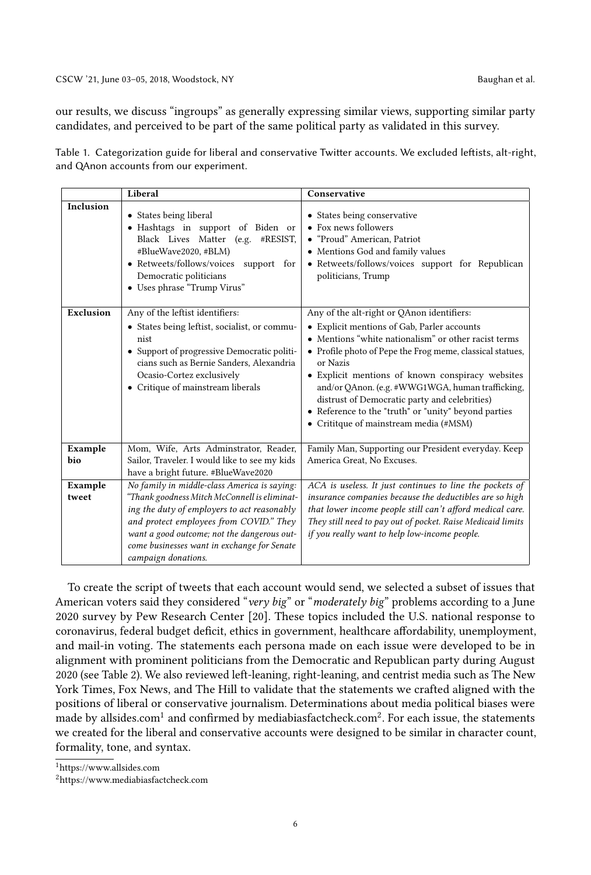our results, we discuss "ingroups" as generally expressing similar views, supporting similar party candidates, and perceived to be part of the same political party as validated in this survey.

<span id="page-5-0"></span>

|  | Table 1. Categorization guide for liberal and conservative Twitter accounts. We excluded leftists, alt-right, |  |  |  |  |
|--|---------------------------------------------------------------------------------------------------------------|--|--|--|--|
|  | and QAnon accounts from our experiment.                                                                       |  |  |  |  |

|                | Liberal                                                                                                                                                                                                                                              | Conservative                                                                                                                                                                                                                                                                                                                                                                                                                                                                          |
|----------------|------------------------------------------------------------------------------------------------------------------------------------------------------------------------------------------------------------------------------------------------------|---------------------------------------------------------------------------------------------------------------------------------------------------------------------------------------------------------------------------------------------------------------------------------------------------------------------------------------------------------------------------------------------------------------------------------------------------------------------------------------|
| Inclusion      | • States being liberal<br>· Hashtags in support of Biden or<br>Black Lives Matter (e.g. #RESIST,<br>#BlueWave2020, #BLM)<br>• Retweets/follows/voices<br>support for<br>Democratic politicians<br>• Uses phrase "Trump Virus"                        | • States being conservative<br>• Fox news followers<br>• "Proud" American, Patriot<br>• Mentions God and family values<br>• Retweets/follows/voices support for Republican<br>politicians, Trump                                                                                                                                                                                                                                                                                      |
| Exclusion      | Any of the leftist identifiers:<br>• States being leftist, socialist, or commu-<br>nist<br>• Support of progressive Democratic politi-<br>cians such as Bernie Sanders, Alexandria<br>Ocasio-Cortez exclusively<br>• Critique of mainstream liberals | Any of the alt-right or QAnon identifiers:<br>• Explicit mentions of Gab, Parler accounts<br>• Mentions "white nationalism" or other racist terms<br>• Profile photo of Pepe the Frog meme, classical statues,<br>or Nazis<br>• Explicit mentions of known conspiracy websites<br>and/or QAnon. (e.g. #WWG1WGA, human trafficking,<br>distrust of Democratic party and celebrities)<br>• Reference to the "truth" or "unity" beyond parties<br>• Crititque of mainstream media (#MSM) |
| Example<br>bio | Mom, Wife, Arts Adminstrator, Reader,<br>Sailor, Traveler. I would like to see my kids<br>have a bright future. #BlueWave2020                                                                                                                        | Family Man, Supporting our President everyday. Keep<br>America Great, No Excuses.                                                                                                                                                                                                                                                                                                                                                                                                     |
| Example        | No family in middle-class America is saying:                                                                                                                                                                                                         | ACA is useless. It just continues to line the pockets of                                                                                                                                                                                                                                                                                                                                                                                                                              |
| tweet          | "Thank goodness Mitch McConnell is eliminat-                                                                                                                                                                                                         | insurance companies because the deductibles are so high                                                                                                                                                                                                                                                                                                                                                                                                                               |
|                | ing the duty of employers to act reasonably                                                                                                                                                                                                          | that lower income people still can't afford medical care.                                                                                                                                                                                                                                                                                                                                                                                                                             |
|                | and protect employees from COVID." They<br>want a good outcome; not the dangerous out-                                                                                                                                                               | They still need to pay out of pocket. Raise Medicaid limits<br>if you really want to help low-income people.                                                                                                                                                                                                                                                                                                                                                                          |
|                | come businesses want in exchange for Senate                                                                                                                                                                                                          |                                                                                                                                                                                                                                                                                                                                                                                                                                                                                       |
|                | campaign donations.                                                                                                                                                                                                                                  |                                                                                                                                                                                                                                                                                                                                                                                                                                                                                       |

To create the script of tweets that each account would send, we selected a subset of issues that American voters said they considered "very big" or "moderately big" problems according to a June 2020 survey by Pew Research Center [\[20\]](#page-15-18). These topics included the U.S. national response to coronavirus, federal budget deficit, ethics in government, healthcare affordability, unemployment, and mail-in voting. The statements each persona made on each issue were developed to be in alignment with prominent politicians from the Democratic and Republican party during August 2020 (see Table [2\)](#page-7-0). We also reviewed left-leaning, right-leaning, and centrist media such as The New York Times, Fox News, and The Hill to validate that the statements we crafted aligned with the positions of liberal or conservative journalism. Determinations about media political biases were made by allsides.com $^1$  $^1$  and confirmed by mediabiasfactcheck.com $^2$  $^2$ . For each issue, the statements we created for the liberal and conservative accounts were designed to be similar in character count, formality, tone, and syntax.

<span id="page-5-1"></span><sup>1</sup>[https://www.allsides.com](https://www.allsides.com/media-bias/media-bias-chart)

<span id="page-5-2"></span><sup>2</sup>[https://www.mediabiasfactcheck.com](https://mediabiasfactcheck.com/about/)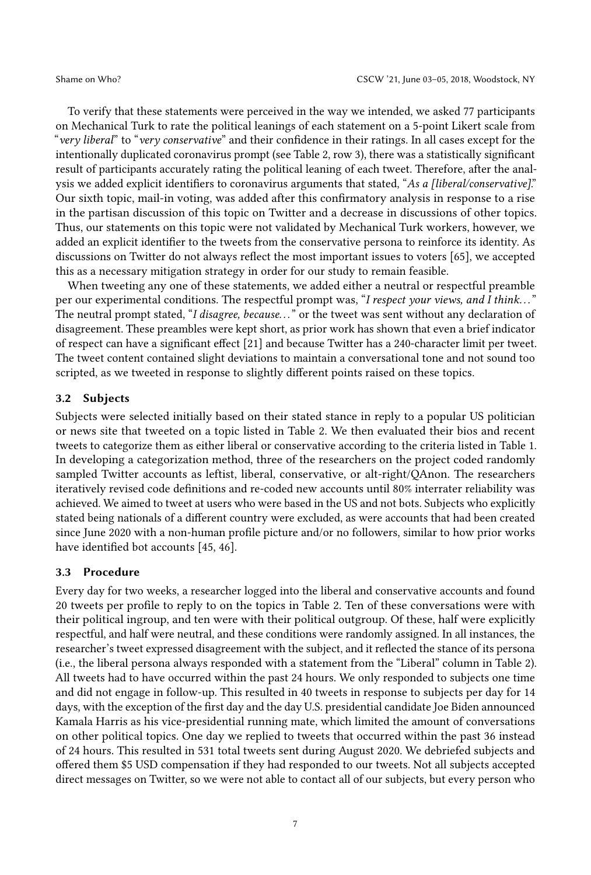To verify that these statements were perceived in the way we intended, we asked 77 participants on Mechanical Turk to rate the political leanings of each statement on a 5-point Likert scale from "very liberal" to "very conservative" and their confidence in their ratings. In all cases except for the intentionally duplicated coronavirus prompt (see Table [2,](#page-7-0) row 3), there was a statistically significant result of participants accurately rating the political leaning of each tweet. Therefore, after the analysis we added explicit identifiers to coronavirus arguments that stated, "As a [liberal/conservative]." Our sixth topic, mail-in voting, was added after this confirmatory analysis in response to a rise in the partisan discussion of this topic on Twitter and a decrease in discussions of other topics. Thus, our statements on this topic were not validated by Mechanical Turk workers, however, we added an explicit identifier to the tweets from the conservative persona to reinforce its identity. As discussions on Twitter do not always reflect the most important issues to voters [\[65\]](#page-17-11), we accepted this as a necessary mitigation strategy in order for our study to remain feasible.

When tweeting any one of these statements, we added either a neutral or respectful preamble per our experimental conditions. The respectful prompt was, "I respect your views, and I think..." The neutral prompt stated, "I disagree, because..." or the tweet was sent without any declaration of disagreement. These preambles were kept short, as prior work has shown that even a brief indicator of respect can have a significant effect [\[21\]](#page-15-3) and because Twitter has a 240-character limit per tweet. The tweet content contained slight deviations to maintain a conversational tone and not sound too scripted, as we tweeted in response to slightly different points raised on these topics.

#### 3.2 Subjects

Subjects were selected initially based on their stated stance in reply to a popular US politician or news site that tweeted on a topic listed in Table [2.](#page-7-0) We then evaluated their bios and recent tweets to categorize them as either liberal or conservative according to the criteria listed in Table [1.](#page-5-0) In developing a categorization method, three of the researchers on the project coded randomly sampled Twitter accounts as leftist, liberal, conservative, or alt-right/QAnon. The researchers iteratively revised code definitions and re-coded new accounts until 80% interrater reliability was achieved. We aimed to tweet at users who were based in the US and not bots. Subjects who explicitly stated being nationals of a different country were excluded, as were accounts that had been created since June 2020 with a non-human profile picture and/or no followers, similar to how prior works have identified bot accounts [\[45,](#page-16-16) [46\]](#page-16-17).

#### 3.3 Procedure

Every day for two weeks, a researcher logged into the liberal and conservative accounts and found 20 tweets per profile to reply to on the topics in Table [2.](#page-7-0) Ten of these conversations were with their political ingroup, and ten were with their political outgroup. Of these, half were explicitly respectful, and half were neutral, and these conditions were randomly assigned. In all instances, the researcher's tweet expressed disagreement with the subject, and it reflected the stance of its persona (i.e., the liberal persona always responded with a statement from the "Liberal" column in Table [2\)](#page-7-0). All tweets had to have occurred within the past 24 hours. We only responded to subjects one time and did not engage in follow-up. This resulted in 40 tweets in response to subjects per day for 14 days, with the exception of the first day and the day U.S. presidential candidate Joe Biden announced Kamala Harris as his vice-presidential running mate, which limited the amount of conversations on other political topics. One day we replied to tweets that occurred within the past 36 instead of 24 hours. This resulted in 531 total tweets sent during August 2020. We debriefed subjects and offered them \$5 USD compensation if they had responded to our tweets. Not all subjects accepted direct messages on Twitter, so we were not able to contact all of our subjects, but every person who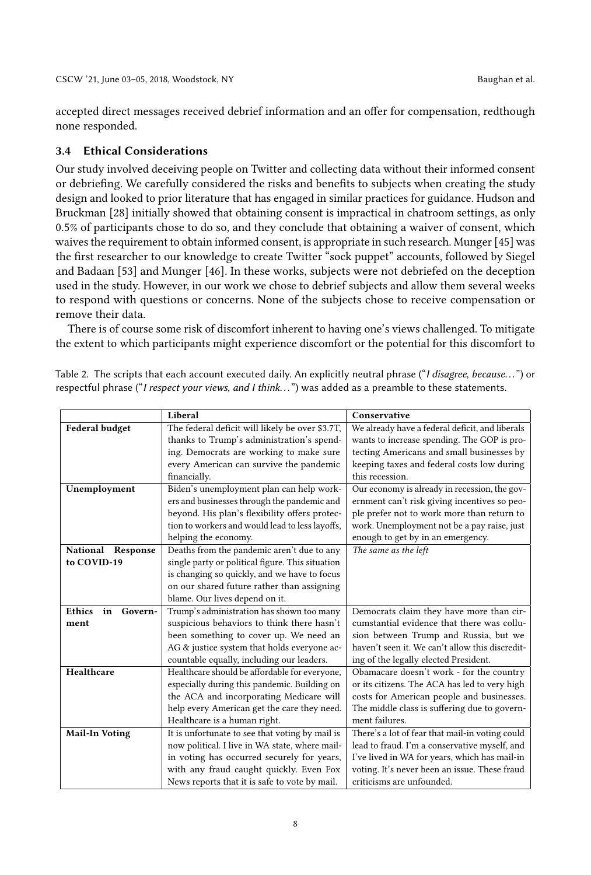accepted direct messages received debrief information and an offer for compensation, redthough none responded.

#### 3.4 Ethical Considerations

Our study involved deceiving people on Twitter and collecting data without their informed consent or debriefing. We carefully considered the risks and benefits to subjects when creating the study design and looked to prior literature that has engaged in similar practices for guidance. Hudson and Bruckman [\[28\]](#page-16-18) initially showed that obtaining consent is impractical in chatroom settings, as only 0.5% of participants chose to do so, and they conclude that obtaining a waiver of consent, which waives the requirement to obtain informed consent, is appropriate in such research. Munger[\[45\]](#page-16-16) was the first researcher to our knowledge to create Twitter "sock puppet" accounts, followed by Siegel and Badaan [\[53\]](#page-17-12) and Munger [\[46\]](#page-16-17). In these works, subjects were not debriefed on the deception used in the study. However, in our work we chose to debrief subjects and allow them several weeks to respond with questions or concerns. None of the subjects chose to receive compensation or remove their data.

There is of course some risk of discomfort inherent to having one's views challenged. To mitigate the extent to which participants might experience discomfort or the potential for this discomfort to

|                                | Liberal                                          | Conservative                                    |  |  |  |
|--------------------------------|--------------------------------------------------|-------------------------------------------------|--|--|--|
| Federal budget                 | The federal deficit will likely be over \$3.7T,  | We already have a federal deficit, and liberals |  |  |  |
|                                | thanks to Trump's administration's spend-        | wants to increase spending. The GOP is pro-     |  |  |  |
|                                | ing. Democrats are working to make sure          | tecting Americans and small businesses by       |  |  |  |
|                                | every American can survive the pandemic          | keeping taxes and federal costs low during      |  |  |  |
|                                | financially.                                     | this recession.                                 |  |  |  |
| Unemployment                   | Biden's unemployment plan can help work-         | Our economy is already in recession, the gov-   |  |  |  |
|                                | ers and businesses through the pandemic and      | ernment can't risk giving incentives so peo-    |  |  |  |
|                                | beyond. His plan's flexibility offers protec-    | ple prefer not to work more than return to      |  |  |  |
|                                | tion to workers and would lead to less layoffs,  | work. Unemployment not be a pay raise, just     |  |  |  |
|                                | helping the economy.                             | enough to get by in an emergency.               |  |  |  |
| National Response              | Deaths from the pandemic aren't due to any       | The same as the left                            |  |  |  |
| to COVID-19                    | single party or political figure. This situation |                                                 |  |  |  |
|                                | is changing so quickly, and we have to focus     |                                                 |  |  |  |
|                                | on our shared future rather than assigning       |                                                 |  |  |  |
|                                | blame. Our lives depend on it.                   |                                                 |  |  |  |
| <b>Ethics</b><br>in<br>Govern- | Trump's administration has shown too many        | Democrats claim they have more than cir-        |  |  |  |
| ment                           | suspicious behaviors to think there hasn't       | cumstantial evidence that there was collu-      |  |  |  |
|                                | been something to cover up. We need an           | sion between Trump and Russia, but we           |  |  |  |
|                                | AG & justice system that holds everyone ac-      | haven't seen it. We can't allow this discredit- |  |  |  |
|                                | countable equally, including our leaders.        | ing of the legally elected President.           |  |  |  |
| Healthcare                     | Healthcare should be affordable for everyone,    | Obamacare doesn't work - for the country        |  |  |  |
|                                | especially during this pandemic. Building on     | or its citizens. The ACA has led to very high   |  |  |  |
|                                | the ACA and incorporating Medicare will          | costs for American people and businesses.       |  |  |  |
|                                | help every American get the care they need.      | The middle class is suffering due to govern-    |  |  |  |
|                                | Healthcare is a human right.                     | ment failures.                                  |  |  |  |
| <b>Mail-In Voting</b>          | It is unfortunate to see that voting by mail is  | There's a lot of fear that mail-in voting could |  |  |  |
|                                | now political. I live in WA state, where mail-   | lead to fraud. I'm a conservative myself, and   |  |  |  |
|                                | in voting has occurred securely for years,       | I've lived in WA for years, which has mail-in   |  |  |  |
|                                | with any fraud caught quickly. Even Fox          | voting. It's never been an issue. These fraud   |  |  |  |
|                                | News reports that it is safe to vote by mail.    | criticisms are unfounded.                       |  |  |  |

<span id="page-7-0"></span>Table 2. The scripts that each account executed daily. An explicitly neutral phrase ("I disagree, because...") or respectful phrase ("I respect your views, and I think...") was added as a preamble to these statements.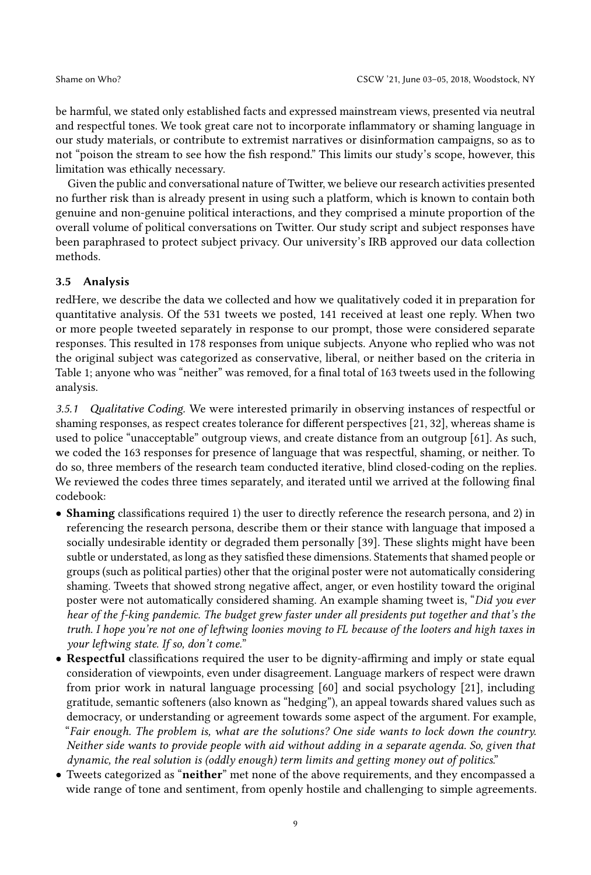be harmful, we stated only established facts and expressed mainstream views, presented via neutral and respectful tones. We took great care not to incorporate inflammatory or shaming language in our study materials, or contribute to extremist narratives or disinformation campaigns, so as to not "poison the stream to see how the fish respond." This limits our study's scope, however, this limitation was ethically necessary.

Given the public and conversational nature of Twitter, we believe our research activities presented no further risk than is already present in using such a platform, which is known to contain both genuine and non-genuine political interactions, and they comprised a minute proportion of the overall volume of political conversations on Twitter. Our study script and subject responses have been paraphrased to protect subject privacy. Our university's IRB approved our data collection methods.

#### 3.5 Analysis

redHere, we describe the data we collected and how we qualitatively coded it in preparation for quantitative analysis. Of the 531 tweets we posted, 141 received at least one reply. When two or more people tweeted separately in response to our prompt, those were considered separate responses. This resulted in 178 responses from unique subjects. Anyone who replied who was not the original subject was categorized as conservative, liberal, or neither based on the criteria in Table [1;](#page-5-0) anyone who was "neither" was removed, for a final total of 163 tweets used in the following analysis.

3.5.1 Qualitative Coding. We were interested primarily in observing instances of respectful or shaming responses, as respect creates tolerance for different perspectives [\[21,](#page-15-3) [32\]](#page-16-7), whereas shame is used to police "unacceptable" outgroup views, and create distance from an outgroup [\[61\]](#page-17-3). As such, we coded the 163 responses for presence of language that was respectful, shaming, or neither. To do so, three members of the research team conducted iterative, blind closed-coding on the replies. We reviewed the codes three times separately, and iterated until we arrived at the following final codebook:

- Shaming classifications required 1) the user to directly reference the research persona, and 2) in referencing the research persona, describe them or their stance with language that imposed a socially undesirable identity or degraded them personally [\[39\]](#page-16-19). These slights might have been subtle or understated, as long as they satisfied these dimensions. Statements that shamed people or groups (such as political parties) other that the original poster were not automatically considering shaming. Tweets that showed strong negative affect, anger, or even hostility toward the original poster were not automatically considered shaming. An example shaming tweet is, "Did you ever hear of the f-king pandemic. The budget grew faster under all presidents put together and that's the truth. I hope you're not one of leftwing loonies moving to FL because of the looters and high taxes in your leftwing state. If so, don't come."
- Respectful classifications required the user to be dignity-affirming and imply or state equal consideration of viewpoints, even under disagreement. Language markers of respect were drawn from prior work in natural language processing [\[60\]](#page-17-13) and social psychology [\[21\]](#page-15-3), including gratitude, semantic softeners (also known as "hedging"), an appeal towards shared values such as democracy, or understanding or agreement towards some aspect of the argument. For example, "Fair enough. The problem is, what are the solutions? One side wants to lock down the country. Neither side wants to provide people with aid without adding in a separate agenda. So, given that dynamic, the real solution is (oddly enough) term limits and getting money out of politics."
- Tweets categorized as "neither" met none of the above requirements, and they encompassed a wide range of tone and sentiment, from openly hostile and challenging to simple agreements.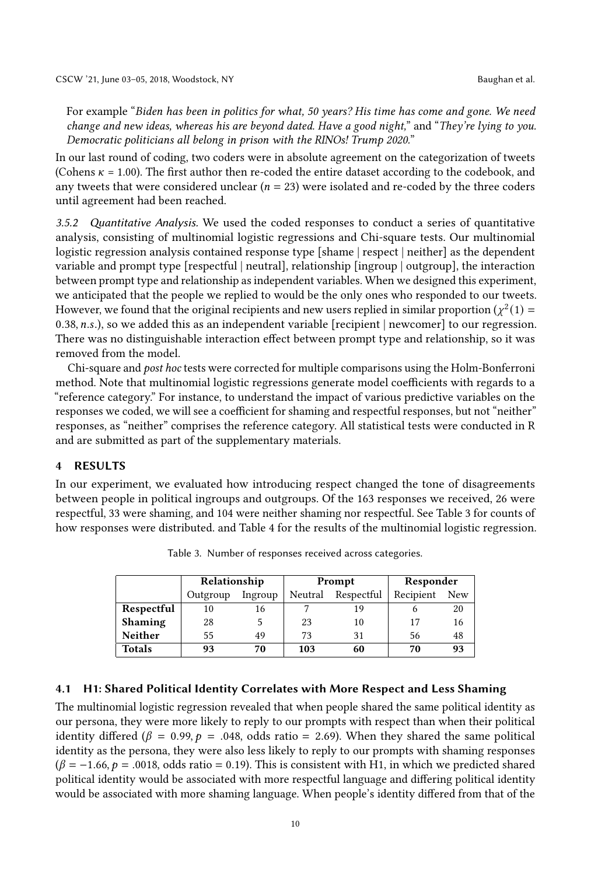For example "Biden has been in politics for what, 50 years? His time has come and gone. We need change and new ideas, whereas his are beyond dated. Have a good night," and "They're lying to you. Democratic politicians all belong in prison with the RINOs! Trump 2020."

In our last round of coding, two coders were in absolute agreement on the categorization of tweets (Cohens  $\kappa$  = 1.00). The first author then re-coded the entire dataset according to the codebook, and any tweets that were considered unclear ( $n = 23$ ) were isolated and re-coded by the three coders until agreement had been reached.

3.5.2 Quantitative Analysis. We used the coded responses to conduct a series of quantitative analysis, consisting of multinomial logistic regressions and Chi-square tests. Our multinomial logistic regression analysis contained response type [shame | respect | neither] as the dependent variable and prompt type [respectful | neutral], relationship [ingroup | outgroup], the interaction between prompt type and relationship as independent variables. When we designed this experiment, we anticipated that the people we replied to would be the only ones who responded to our tweets. However, we found that the original recipients and new users replied in similar proportion ( $\chi^2(1)$  = 0.38,  $n.s.$ ), so we added this as an independent variable [recipient | newcomer] to our regression. There was no distinguishable interaction effect between prompt type and relationship, so it was removed from the model.

Chi-square and post hoc tests were corrected for multiple comparisons using the Holm-Bonferroni method. Note that multinomial logistic regressions generate model coefficients with regards to a "reference category." For instance, to understand the impact of various predictive variables on the responses we coded, we will see a coefficient for shaming and respectful responses, but not "neither" responses, as "neither" comprises the reference category. All statistical tests were conducted in R and are submitted as part of the supplementary materials.

#### 4 RESULTS

<span id="page-9-0"></span>In our experiment, we evaluated how introducing respect changed the tone of disagreements between people in political ingroups and outgroups. Of the 163 responses we received, 26 were respectful, 33 were shaming, and 104 were neither shaming nor respectful. See Table [3](#page-9-0) for counts of how responses were distributed. and Table [4](#page-10-0) for the results of the multinomial logistic regression.

|                | Relationship |         |                       | Prompt | Responder |            |  |
|----------------|--------------|---------|-----------------------|--------|-----------|------------|--|
|                | Outgroup     | Ingroup | Respectful<br>Neutral |        | Recipient | <b>New</b> |  |
| Respectful     | 16<br>10     |         |                       | 19     |           | 20         |  |
| <b>Shaming</b> | 28           |         | 23                    | 10     | 17        | 16         |  |
| <b>Neither</b> | 55           | 49      | 73                    | 31     | 56        | 48         |  |
| <b>Totals</b>  | 93           | 70      | 103                   | 60     | 70        | 93         |  |

Table 3. Number of responses received across categories.

#### 4.1 H1: Shared Political Identity Correlates with More Respect and Less Shaming

The multinomial logistic regression revealed that when people shared the same political identity as our persona, they were more likely to reply to our prompts with respect than when their political identity differed ( $\beta = 0.99$ ,  $p = .048$ , odds ratio = 2.69). When they shared the same political identity as the persona, they were also less likely to reply to our prompts with shaming responses  $(\beta = -1.66, p = .0018, \text{ odds ratio} = 0.19)$ . This is consistent with H1, in which we predicted shared political identity would be associated with more respectful language and differing political identity would be associated with more shaming language. When people's identity differed from that of the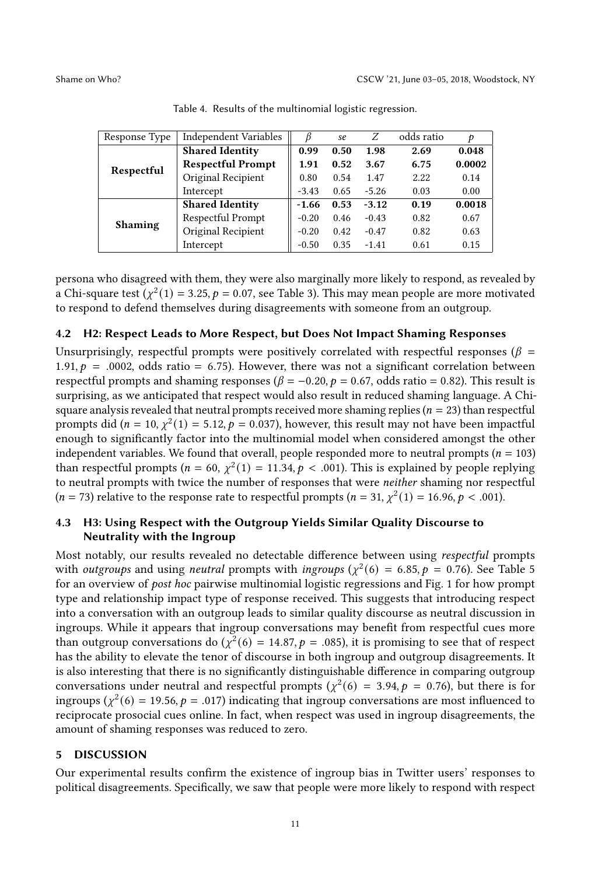<span id="page-10-0"></span>

| Response Type  | Independent Variables    |         | se   | Ζ       | odds ratio | Þ      |
|----------------|--------------------------|---------|------|---------|------------|--------|
|                | <b>Shared Identity</b>   | 0.99    | 0.50 | 1.98    | 2.69       | 0.048  |
| Respectful     | <b>Respectful Prompt</b> | 1.91    | 0.52 | 3.67    | 6.75       | 0.0002 |
|                | Original Recipient       | 0.80    | 0.54 | 1.47    | 2.22       | 0.14   |
|                | Intercept                | $-3.43$ | 0.65 | $-5.26$ | 0.03       | 0.00   |
|                | <b>Shared Identity</b>   | $-1.66$ | 0.53 | $-3.12$ | 0.19       | 0.0018 |
| <b>Shaming</b> | Respectful Prompt        | $-0.20$ | 0.46 | $-0.43$ | 0.82       | 0.67   |
|                | Original Recipient       | $-0.20$ | 0.42 | $-0.47$ | 0.82       | 0.63   |
|                | Intercept                | $-0.50$ | 0.35 | $-1.41$ | 0.61       | 0.15   |

Table 4. Results of the multinomial logistic regression.

persona who disagreed with them, they were also marginally more likely to respond, as revealed by a Chi-square test  $(\chi^2(1) = 3.25, p = 0.07, \text{see Table 3}).$  This may mean people are more motivated to respond to defend themselves during disagreements with someone from an outgroup.

#### 4.2 H2: Respect Leads to More Respect, but Does Not Impact Shaming Responses

Unsurprisingly, respectful prompts were positively correlated with respectful responses ( $\beta$  = 1.91,  $p = .0002$ , odds ratio = 6.75). However, there was not a significant correlation between respectful prompts and shaming responses ( $\beta = -0.20$ ,  $p = 0.67$ , odds ratio = 0.82). This result is surprising, as we anticipated that respect would also result in reduced shaming language. A Chisquare analysis revealed that neutral prompts received more shaming replies ( $n = 23$ ) than respectful prompts did ( $n = 10$ ,  $\chi^2(1) = 5.12$ ,  $p = 0.037$ ), however, this result may not have been impactful enough to significantly factor into the multinomial model when considered amongst the other independent variables. We found that overall, people responded more to neutral prompts ( $n = 103$ ) than respectful prompts ( $n = 60$ ,  $\chi^2(1) = 11.34$ ,  $p < .001$ ). This is explained by people replying to neutral prompts with twice the number of responses that were neither shaming nor respectful  $(n = 73)$  relative to the response rate to respectful prompts  $(n = 31, \chi^2(1) = 16.96, p < .001)$ .

# 4.3 H3: Using Respect with the Outgroup Yields Similar Quality Discourse to Neutrality with the Ingroup

Most notably, our results revealed no detectable difference between using respectful prompts with *outgroups* and using *neutral* prompts with *ingroups* ( $\chi^2(6) = 6.85$ ,  $p = 0.76$ ). See Table [5](#page-11-0) for an overview of post hoc pairwise multinomial logistic regressions and Fig. [1](#page-11-1) for how prompt type and relationship impact type of response received. This suggests that introducing respect into a conversation with an outgroup leads to similar quality discourse as neutral discussion in ingroups. While it appears that ingroup conversations may benefit from respectful cues more than outgroup conversations do  $(\chi^2(6) = 14.87, p = .085)$ , it is promising to see that of respect has the ability to elevate the tenor of discourse in both ingroup and outgroup disagreements. It is also interesting that there is no significantly distinguishable difference in comparing outgroup conversations under neutral and respectful prompts ( $\chi^2(6) = 3.94$ ,  $p = 0.76$ ), but there is for ingroups ( $\chi^2(6) = 19.56$ ,  $p = .017$ ) indicating that ingroup conversations are most influenced to reciprocate prosocial cues online. In fact, when respect was used in ingroup disagreements, the amount of shaming responses was reduced to zero.

#### 5 DISCUSSION

Our experimental results confirm the existence of ingroup bias in Twitter users' responses to political disagreements. Specifically, we saw that people were more likely to respond with respect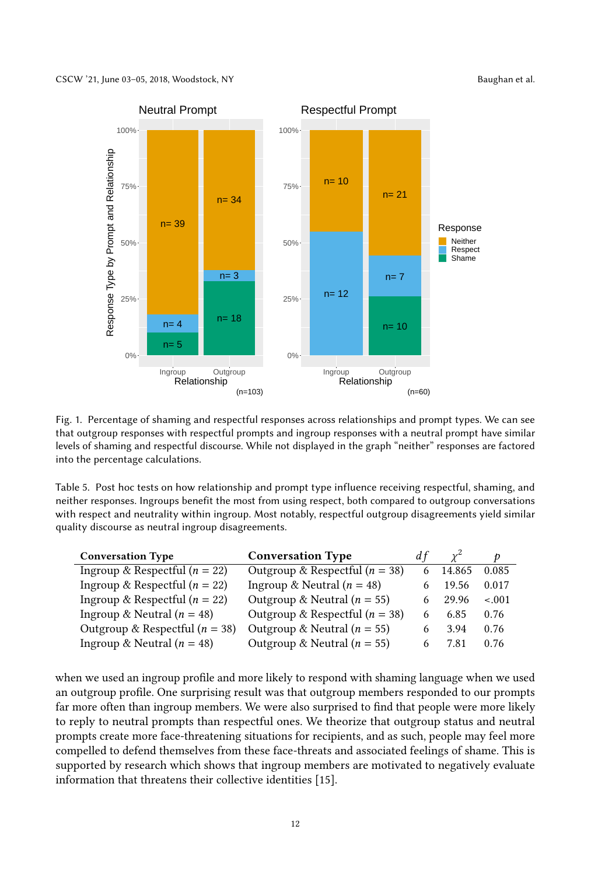<span id="page-11-1"></span>

Fig. 1. Percentage of shaming and respectful responses across relationships and prompt types. We can see that outgroup responses with respectful prompts and ingroup responses with a neutral prompt have similar levels of shaming and respectful discourse. While not displayed in the graph "neither" responses are factored into the percentage calculations.

<span id="page-11-0"></span>Table 5. Post hoc tests on how relationship and prompt type influence receiving respectful, shaming, and neither responses. Ingroups benefit the most from using respect, both compared to outgroup conversations with respect and neutrality within ingroup. Most notably, respectful outgroup disagreements yield similar quality discourse as neutral ingroup disagreements.

| <b>Conversation Type</b>           | <b>Conversation Type</b>           | d f |        |         |
|------------------------------------|------------------------------------|-----|--------|---------|
| Ingroup & Respectful ( $n = 22$ )  | Outgroup & Respectful ( $n = 38$ ) |     | 14.865 | 0.085   |
| Ingroup & Respectful ( $n = 22$ )  | Ingroup & Neutral ( $n = 48$ )     | 6   | 19.56  | 0.017   |
| Ingroup & Respectful ( $n = 22$ )  | Outgroup & Neutral ( $n = 55$ )    | 6   | 29.96  | $-.001$ |
| Ingroup & Neutral $(n = 48)$       | Outgroup & Respectful ( $n = 38$ ) |     | 6.85   | 0.76    |
| Outgroup & Respectful ( $n = 38$ ) | Outgroup & Neutral ( $n = 55$ )    | 6   | 3.94   | 0.76    |
| Ingroup & Neutral ( $n = 48$ )     | Outgroup & Neutral ( $n = 55$ )    | 6   | 7.81   | 0.76    |

when we used an ingroup profile and more likely to respond with shaming language when we used an outgroup profile. One surprising result was that outgroup members responded to our prompts far more often than ingroup members. We were also surprised to find that people were more likely to reply to neutral prompts than respectful ones. We theorize that outgroup status and neutral prompts create more face-threatening situations for recipients, and as such, people may feel more compelled to defend themselves from these face-threats and associated feelings of shame. This is supported by research which shows that ingroup members are motivated to negatively evaluate information that threatens their collective identities [\[15\]](#page-15-11).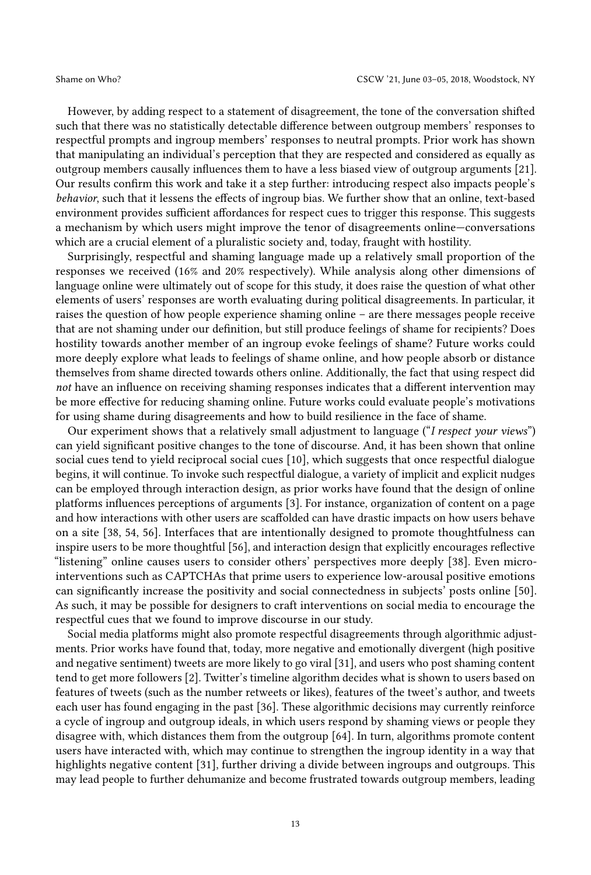However, by adding respect to a statement of disagreement, the tone of the conversation shifted such that there was no statistically detectable difference between outgroup members' responses to respectful prompts and ingroup members' responses to neutral prompts. Prior work has shown that manipulating an individual's perception that they are respected and considered as equally as outgroup members causally influences them to have a less biased view of outgroup arguments [\[21\]](#page-15-3). Our results confirm this work and take it a step further: introducing respect also impacts people's behavior, such that it lessens the effects of ingroup bias. We further show that an online, text-based environment provides sufficient affordances for respect cues to trigger this response. This suggests a mechanism by which users might improve the tenor of disagreements online—conversations which are a crucial element of a pluralistic society and, today, fraught with hostility.

Surprisingly, respectful and shaming language made up a relatively small proportion of the responses we received (16% and 20% respectively). While analysis along other dimensions of language online were ultimately out of scope for this study, it does raise the question of what other elements of users' responses are worth evaluating during political disagreements. In particular, it raises the question of how people experience shaming online – are there messages people receive that are not shaming under our definition, but still produce feelings of shame for recipients? Does hostility towards another member of an ingroup evoke feelings of shame? Future works could more deeply explore what leads to feelings of shame online, and how people absorb or distance themselves from shame directed towards others online. Additionally, the fact that using respect did not have an influence on receiving shaming responses indicates that a different intervention may be more effective for reducing shaming online. Future works could evaluate people's motivations for using shame during disagreements and how to build resilience in the face of shame.

Our experiment shows that a relatively small adjustment to language ("I respect your views") can yield significant positive changes to the tone of discourse. And, it has been shown that online social cues tend to yield reciprocal social cues [\[10\]](#page-15-19), which suggests that once respectful dialogue begins, it will continue. To invoke such respectful dialogue, a variety of implicit and explicit nudges can be employed through interaction design, as prior works have found that the design of online platforms influences perceptions of arguments [\[3\]](#page-15-2). For instance, organization of content on a page and how interactions with other users are scaffolded can have drastic impacts on how users behave on a site [\[38,](#page-16-20) [54,](#page-17-14) [56\]](#page-17-15). Interfaces that are intentionally designed to promote thoughtfulness can inspire users to be more thoughtful [\[56\]](#page-17-15), and interaction design that explicitly encourages reflective "listening" online causes users to consider others' perspectives more deeply [\[38\]](#page-16-20). Even microinterventions such as CAPTCHAs that prime users to experience low-arousal positive emotions can significantly increase the positivity and social connectedness in subjects' posts online [\[50\]](#page-17-16). As such, it may be possible for designers to craft interventions on social media to encourage the respectful cues that we found to improve discourse in our study.

Social media platforms might also promote respectful disagreements through algorithmic adjustments. Prior works have found that, today, more negative and emotionally divergent (high positive and negative sentiment) tweets are more likely to go viral [\[31\]](#page-16-21), and users who post shaming content tend to get more followers [\[2\]](#page-15-15). Twitter's timeline algorithm decides what is shown to users based on features of tweets (such as the number retweets or likes), features of the tweet's author, and tweets each user has found engaging in the past [\[36\]](#page-16-22). These algorithmic decisions may currently reinforce a cycle of ingroup and outgroup ideals, in which users respond by shaming views or people they disagree with, which distances them from the outgroup [\[64\]](#page-17-7). In turn, algorithms promote content users have interacted with, which may continue to strengthen the ingroup identity in a way that highlights negative content [\[31\]](#page-16-21), further driving a divide between ingroups and outgroups. This may lead people to further dehumanize and become frustrated towards outgroup members, leading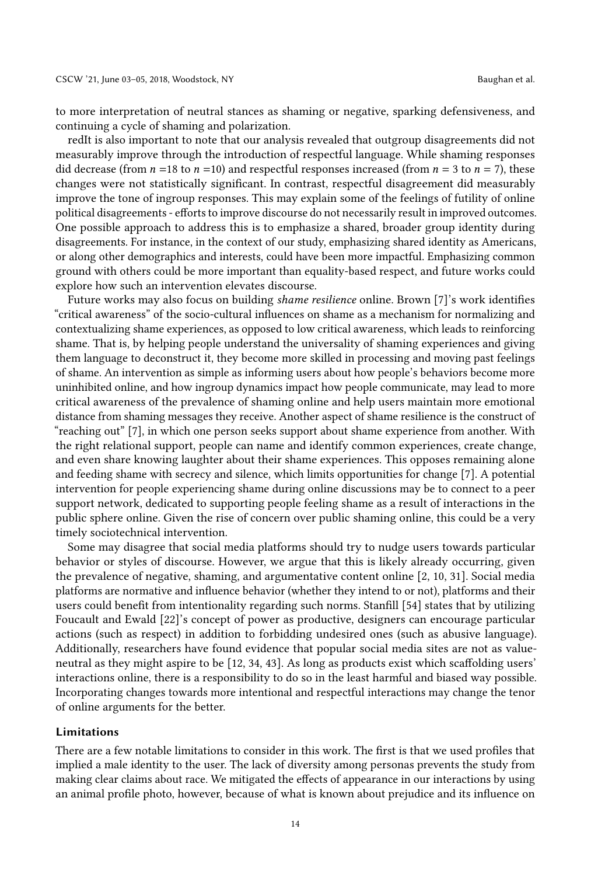to more interpretation of neutral stances as shaming or negative, sparking defensiveness, and continuing a cycle of shaming and polarization.

redIt is also important to note that our analysis revealed that outgroup disagreements did not measurably improve through the introduction of respectful language. While shaming responses did decrease (from  $n = 18$  to  $n = 10$ ) and respectful responses increased (from  $n = 3$  to  $n = 7$ ), these changes were not statistically significant. In contrast, respectful disagreement did measurably improve the tone of ingroup responses. This may explain some of the feelings of futility of online political disagreements - efforts to improve discourse do not necessarily result in improved outcomes. One possible approach to address this is to emphasize a shared, broader group identity during disagreements. For instance, in the context of our study, emphasizing shared identity as Americans, or along other demographics and interests, could have been more impactful. Emphasizing common ground with others could be more important than equality-based respect, and future works could explore how such an intervention elevates discourse.

Future works may also focus on building shame resilience online. Brown [\[7\]](#page-15-13)'s work identifies "critical awareness" of the socio-cultural influences on shame as a mechanism for normalizing and contextualizing shame experiences, as opposed to low critical awareness, which leads to reinforcing shame. That is, by helping people understand the universality of shaming experiences and giving them language to deconstruct it, they become more skilled in processing and moving past feelings of shame. An intervention as simple as informing users about how people's behaviors become more uninhibited online, and how ingroup dynamics impact how people communicate, may lead to more critical awareness of the prevalence of shaming online and help users maintain more emotional distance from shaming messages they receive. Another aspect of shame resilience is the construct of "reaching out" [\[7\]](#page-15-13), in which one person seeks support about shame experience from another. With the right relational support, people can name and identify common experiences, create change, and even share knowing laughter about their shame experiences. This opposes remaining alone and feeding shame with secrecy and silence, which limits opportunities for change [\[7\]](#page-15-13). A potential intervention for people experiencing shame during online discussions may be to connect to a peer support network, dedicated to supporting people feeling shame as a result of interactions in the public sphere online. Given the rise of concern over public shaming online, this could be a very timely sociotechnical intervention.

Some may disagree that social media platforms should try to nudge users towards particular behavior or styles of discourse. However, we argue that this is likely already occurring, given the prevalence of negative, shaming, and argumentative content online [\[2,](#page-15-15) [10,](#page-15-19) [31\]](#page-16-21). Social media platforms are normative and influence behavior (whether they intend to or not), platforms and their users could benefit from intentionality regarding such norms. Stanfill [\[54\]](#page-17-14) states that by utilizing Foucault and Ewald [\[22\]](#page-15-20)'s concept of power as productive, designers can encourage particular actions (such as respect) in addition to forbidding undesired ones (such as abusive language). Additionally, researchers have found evidence that popular social media sites are not as valueneutral as they might aspire to be [\[12,](#page-15-21) [34,](#page-16-23) [43\]](#page-16-24). As long as products exist which scaffolding users' interactions online, there is a responsibility to do so in the least harmful and biased way possible. Incorporating changes towards more intentional and respectful interactions may change the tenor of online arguments for the better.

#### Limitations

There are a few notable limitations to consider in this work. The first is that we used profiles that implied a male identity to the user. The lack of diversity among personas prevents the study from making clear claims about race. We mitigated the effects of appearance in our interactions by using an animal profile photo, however, because of what is known about prejudice and its influence on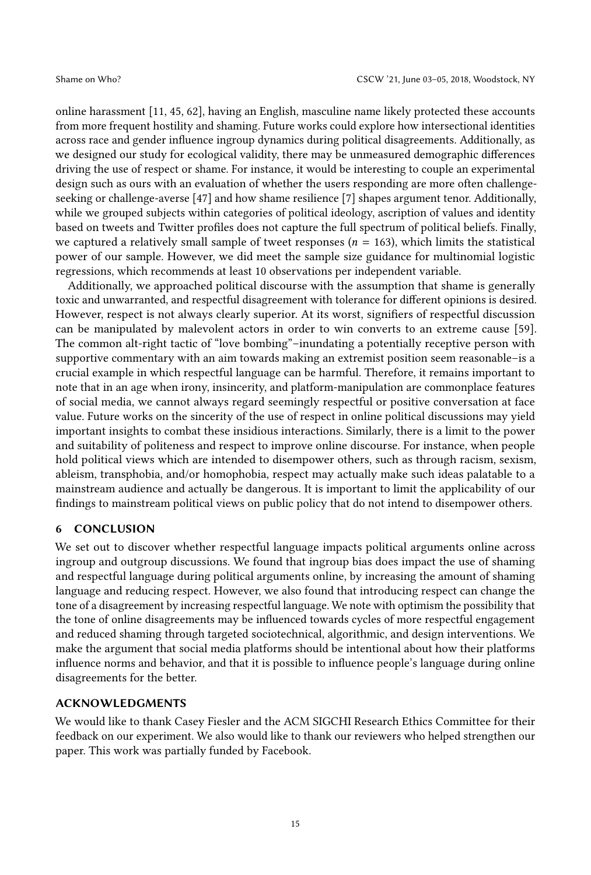online harassment [\[11,](#page-15-22) [45,](#page-16-16) [62\]](#page-17-10), having an English, masculine name likely protected these accounts from more frequent hostility and shaming. Future works could explore how intersectional identities across race and gender influence ingroup dynamics during political disagreements. Additionally, as we designed our study for ecological validity, there may be unmeasured demographic differences driving the use of respect or shame. For instance, it would be interesting to couple an experimental design such as ours with an evaluation of whether the users responding are more often challengeseeking or challenge-averse [\[47\]](#page-16-8) and how shame resilience [\[7\]](#page-15-13) shapes argument tenor. Additionally, while we grouped subjects within categories of political ideology, ascription of values and identity based on tweets and Twitter profiles does not capture the full spectrum of political beliefs. Finally, we captured a relatively small sample of tweet responses ( $n = 163$ ), which limits the statistical power of our sample. However, we did meet the sample size guidance for multinomial logistic regressions, which recommends at least 10 observations per independent variable.

Additionally, we approached political discourse with the assumption that shame is generally toxic and unwarranted, and respectful disagreement with tolerance for different opinions is desired. However, respect is not always clearly superior. At its worst, signifiers of respectful discussion can be manipulated by malevolent actors in order to win converts to an extreme cause [\[59\]](#page-17-17). The common alt-right tactic of "love bombing"–inundating a potentially receptive person with supportive commentary with an aim towards making an extremist position seem reasonable–is a crucial example in which respectful language can be harmful. Therefore, it remains important to note that in an age when irony, insincerity, and platform-manipulation are commonplace features of social media, we cannot always regard seemingly respectful or positive conversation at face value. Future works on the sincerity of the use of respect in online political discussions may yield important insights to combat these insidious interactions. Similarly, there is a limit to the power and suitability of politeness and respect to improve online discourse. For instance, when people hold political views which are intended to disempower others, such as through racism, sexism, ableism, transphobia, and/or homophobia, respect may actually make such ideas palatable to a mainstream audience and actually be dangerous. It is important to limit the applicability of our findings to mainstream political views on public policy that do not intend to disempower others.

#### 6 CONCLUSION

We set out to discover whether respectful language impacts political arguments online across ingroup and outgroup discussions. We found that ingroup bias does impact the use of shaming and respectful language during political arguments online, by increasing the amount of shaming language and reducing respect. However, we also found that introducing respect can change the tone of a disagreement by increasing respectful language. We note with optimism the possibility that the tone of online disagreements may be influenced towards cycles of more respectful engagement and reduced shaming through targeted sociotechnical, algorithmic, and design interventions. We make the argument that social media platforms should be intentional about how their platforms influence norms and behavior, and that it is possible to influence people's language during online disagreements for the better.

#### ACKNOWLEDGMENTS

We would like to thank Casey Fiesler and the ACM SIGCHI Research Ethics Committee for their feedback on our experiment. We also would like to thank our reviewers who helped strengthen our paper. This work was partially funded by Facebook.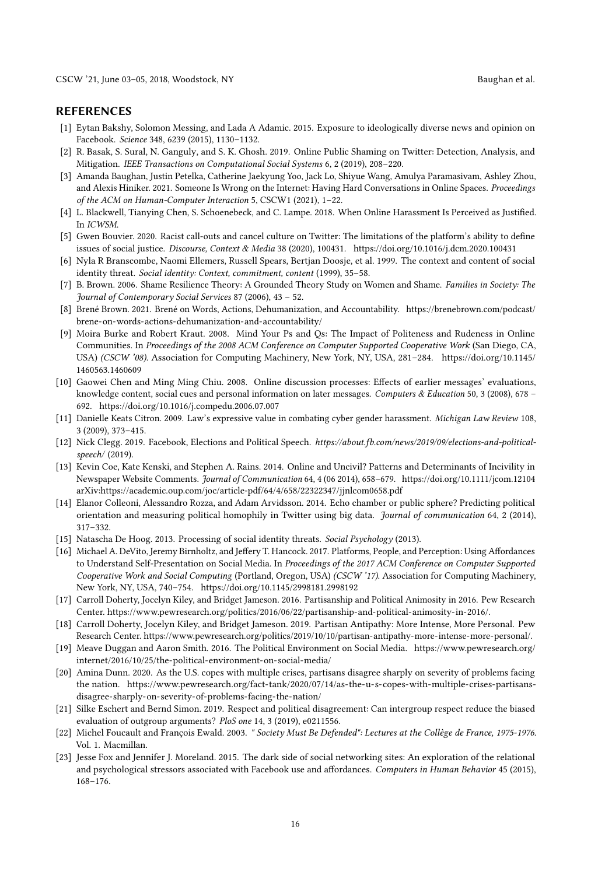#### REFERENCES

- <span id="page-15-6"></span>[1] Eytan Bakshy, Solomon Messing, and Lada A Adamic. 2015. Exposure to ideologically diverse news and opinion on Facebook. Science 348, 6239 (2015), 1130–1132.
- <span id="page-15-15"></span>[2] R. Basak, S. Sural, N. Ganguly, and S. K. Ghosh. 2019. Online Public Shaming on Twitter: Detection, Analysis, and Mitigation. IEEE Transactions on Computational Social Systems 6, 2 (2019), 208–220.
- <span id="page-15-2"></span>[3] Amanda Baughan, Justin Petelka, Catherine Jaekyung Yoo, Jack Lo, Shiyue Wang, Amulya Paramasivam, Ashley Zhou, and Alexis Hiniker. 2021. Someone Is Wrong on the Internet: Having Hard Conversations in Online Spaces. Proceedings of the ACM on Human-Computer Interaction 5, CSCW1 (2021), 1–22.
- <span id="page-15-14"></span>[4] L. Blackwell, Tianying Chen, S. Schoenebeck, and C. Lampe. 2018. When Online Harassment Is Perceived as Justified. In ICWSM.
- <span id="page-15-16"></span>[5] Gwen Bouvier. 2020. Racist call-outs and cancel culture on Twitter: The limitations of the platform's ability to define issues of social justice. Discourse, Context & Media 38 (2020), 100431.<https://doi.org/10.1016/j.dcm.2020.100431>
- <span id="page-15-12"></span>[6] Nyla R Branscombe, Naomi Ellemers, Russell Spears, Bertjan Doosje, et al. 1999. The context and content of social identity threat. Social identity: Context, commitment, content (1999), 35–58.
- <span id="page-15-13"></span>[7] B. Brown. 2006. Shame Resilience Theory: A Grounded Theory Study on Women and Shame. Families in Society: The Journal of Contemporary Social Services 87 (2006), 43 – 52.
- <span id="page-15-17"></span>[8] Brené Brown. 2021. Brené on Words, Actions, Dehumanization, and Accountability. [https://brenebrown.com/podcast/](https://brenebrown.com/podcast/brene-on-words-actions-dehumanization-and-accountability/) [brene-on-words-actions-dehumanization-and-accountability/](https://brenebrown.com/podcast/brene-on-words-actions-dehumanization-and-accountability/)
- <span id="page-15-8"></span>[9] Moira Burke and Robert Kraut. 2008. Mind Your Ps and Qs: The Impact of Politeness and Rudeness in Online Communities. In Proceedings of the 2008 ACM Conference on Computer Supported Cooperative Work (San Diego, CA, USA) (CSCW '08). Association for Computing Machinery, New York, NY, USA, 281–284. [https://doi.org/10.1145/](https://doi.org/10.1145/1460563.1460609) [1460563.1460609](https://doi.org/10.1145/1460563.1460609)
- <span id="page-15-19"></span>[10] Gaowei Chen and Ming Ming Chiu. 2008. Online discussion processes: Effects of earlier messages' evaluations, knowledge content, social cues and personal information on later messages. Computers & Education 50, 3 (2008), 678 -692.<https://doi.org/10.1016/j.compedu.2006.07.007>
- <span id="page-15-22"></span>[11] Danielle Keats Citron. 2009. Law's expressive value in combating cyber gender harassment. Michigan Law Review 108, 3 (2009), 373–415.
- <span id="page-15-21"></span>[12] Nick Clegg. 2019. Facebook, Elections and Political Speech. https://about.fb.com/news/2019/09/elections-and-politicalspeech/ (2019).
- <span id="page-15-1"></span>[13] Kevin Coe, Kate Kenski, and Stephen A. Rains. 2014. Online and Uncivil? Patterns and Determinants of Incivility in Newspaper Website Comments. Journal of Communication 64, 4 (06 2014), 658–679.<https://doi.org/10.1111/jcom.12104> arXiv[:https://academic.oup.com/joc/article-pdf/64/4/658/22322347/jjnlcom0658.pdf](https://arxiv.org/abs/https://academic.oup.com/joc/article-pdf/64/4/658/22322347/jjnlcom0658.pdf)
- <span id="page-15-7"></span>[14] Elanor Colleoni, Alessandro Rozza, and Adam Arvidsson. 2014. Echo chamber or public sphere? Predicting political orientation and measuring political homophily in Twitter using big data. Journal of communication 64, 2 (2014), 317–332.
- <span id="page-15-11"></span>[15] Natascha De Hoog. 2013. Processing of social identity threats. Social Psychology (2013).
- <span id="page-15-10"></span>[16] Michael A. DeVito, Jeremy Birnholtz, and Jeffery T. Hancock. 2017. Platforms, People, and Perception: Using Affordances to Understand Self-Presentation on Social Media. In Proceedings of the 2017 ACM Conference on Computer Supported Cooperative Work and Social Computing (Portland, Oregon, USA) (CSCW '17). Association for Computing Machinery, New York, NY, USA, 740–754.<https://doi.org/10.1145/2998181.2998192>
- <span id="page-15-4"></span>[17] Carroll Doherty, Jocelyn Kiley, and Bridget Jameson. 2016. Partisanship and Political Animosity in 2016. Pew Research Center. [https://www.pewresearch.org/politics/2016/06/22/partisanship-and-political-animosity-in-2016/.](https://www.pewresearch.org/politics/2016/06/22/partisanship-and-political-animosity-in-2016/)
- <span id="page-15-5"></span>[18] Carroll Doherty, Jocelyn Kiley, and Bridget Jameson. 2019. Partisan Antipathy: More Intense, More Personal. Pew Research Center. [https://www.pewresearch.org/politics/2019/10/10/partisan-antipathy-more-intense-more-personal/.](https://www.pewresearch.org/politics/2019/10/10/partisan-antipathy-more-intense-more-personal/)
- <span id="page-15-9"></span>[19] Meave Duggan and Aaron Smith. 2016. The Political Environment on Social Media. [https://www.pewresearch.org/](https://www.pewresearch.org/internet/2016/10/25/the-political-environment-on-social-media/) [internet/2016/10/25/the-political-environment-on-social-media/](https://www.pewresearch.org/internet/2016/10/25/the-political-environment-on-social-media/)
- <span id="page-15-18"></span>[20] Amina Dunn. 2020. As the U.S. copes with multiple crises, partisans disagree sharply on severity of problems facing the nation. [https://www.pewresearch.org/fact-tank/2020/07/14/as-the-u-s-copes-with-multiple-crises-partisans](https://www.pewresearch.org/fact-tank/2020/07/14/as-the-u-s-copes-with-multiple-crises-partisans-disagree-sharply-on-severity-of-problems-facing-the-nation/)[disagree-sharply-on-severity-of-problems-facing-the-nation/](https://www.pewresearch.org/fact-tank/2020/07/14/as-the-u-s-copes-with-multiple-crises-partisans-disagree-sharply-on-severity-of-problems-facing-the-nation/)
- <span id="page-15-3"></span>[21] Silke Eschert and Bernd Simon. 2019. Respect and political disagreement: Can intergroup respect reduce the biased evaluation of outgroup arguments? PloS one 14, 3 (2019), e0211556.
- <span id="page-15-20"></span>[22] Michel Foucault and François Ewald. 2003. " Society Must Be Defended": Lectures at the Collège de France, 1975-1976. Vol. 1. Macmillan.
- <span id="page-15-0"></span>[23] Jesse Fox and Jennifer J. Moreland. 2015. The dark side of social networking sites: An exploration of the relational and psychological stressors associated with Facebook use and affordances. Computers in Human Behavior 45 (2015), 168–176.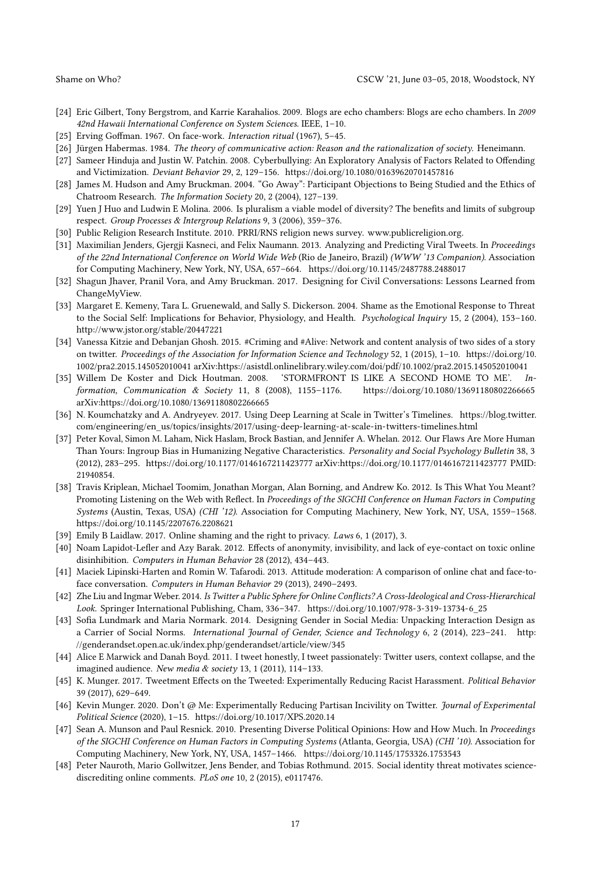- <span id="page-16-6"></span>[24] Eric Gilbert, Tony Bergstrom, and Karrie Karahalios. 2009. Blogs are echo chambers: Blogs are echo chambers. In 2009 42nd Hawaii International Conference on System Sciences. IEEE, 1–10.
- <span id="page-16-11"></span>[25] Erving Goffman. 1967. On face-work. Interaction ritual (1967), 5–45.
- <span id="page-16-1"></span>[26] Jürgen Habermas. 1984. The theory of communicative action: Reason and the rationalization of society. Heneimann.
- <span id="page-16-3"></span>[27] Sameer Hinduja and Justin W. Patchin. 2008. Cyberbullying: An Exploratory Analysis of Factors Related to Offending and Victimization. Deviant Behavior 29, 2, 129–156.<https://doi.org/10.1080/01639620701457816>
- <span id="page-16-18"></span>[28] James M. Hudson and Amy Bruckman. 2004. "Go Away": Participant Objections to Being Studied and the Ethics of Chatroom Research. The Information Society 20, 2 (2004), 127–139.
- <span id="page-16-14"></span>[29] Yuen J Huo and Ludwin E Molina. 2006. Is pluralism a viable model of diversity? The benefits and limits of subgroup respect. Group Processes & Intergroup Relations 9, 3 (2006), 359–376.
- <span id="page-16-0"></span>[30] Public Religion Research Institute. 2010. PRRI/RNS religion news survey. [www.publicreligion.org.](www.publicreligion.org)
- <span id="page-16-21"></span>[31] Maximilian Jenders, Gjergji Kasneci, and Felix Naumann. 2013. Analyzing and Predicting Viral Tweets. In Proceedings of the 22nd International Conference on World Wide Web (Rio de Janeiro, Brazil) (WWW '13 Companion). Association for Computing Machinery, New York, NY, USA, 657–664.<https://doi.org/10.1145/2487788.2488017>
- <span id="page-16-7"></span>[32] Shagun Jhaver, Pranil Vora, and Amy Bruckman. 2017. Designing for Civil Conversations: Lessons Learned from ChangeMyView.
- <span id="page-16-12"></span>[33] Margaret E. Kemeny, Tara L. Gruenewald, and Sally S. Dickerson. 2004. Shame as the Emotional Response to Threat to the Social Self: Implications for Behavior, Physiology, and Health. Psychological Inquiry 15, 2 (2004), 153–160. <http://www.jstor.org/stable/20447221>
- <span id="page-16-23"></span>[34] Vanessa Kitzie and Debanjan Ghosh. 2015. #Criming and #Alive: Network and content analysis of two sides of a story on twitter. Proceedings of the Association for Information Science and Technology 52, 1 (2015), 1–10. [https://doi.org/10.](https://doi.org/10.1002/pra2.2015.145052010041) [1002/pra2.2015.145052010041](https://doi.org/10.1002/pra2.2015.145052010041) arXiv[:https://asistdl.onlinelibrary.wiley.com/doi/pdf/10.1002/pra2.2015.145052010041](https://arxiv.org/abs/https://asistdl.onlinelibrary.wiley.com/doi/pdf/10.1002/pra2.2015.145052010041)
- <span id="page-16-15"></span>[35] Willem De Koster and Dick Houtman. 2008. 'STORMFRONT IS LIKE A SECOND HOME TO ME'. Information, Communication & Society 11, 8 (2008), 1155–1176.<https://doi.org/10.1080/13691180802266665> arXiv[:https://doi.org/10.1080/13691180802266665](https://arxiv.org/abs/https://doi.org/10.1080/13691180802266665)
- <span id="page-16-22"></span>[36] N. Koumchatzky and A. Andryeyev. 2017. Using Deep Learning at Scale in Twitter's Timelines. [https://blog.twitter.](https://blog.twitter.com/engineering/en_us/topics/insights/2017/using-deep-learning-at-scale-in-twitters-timelines.html) [com/engineering/en\\_us/topics/insights/2017/using-deep-learning-at-scale-in-twitters-timelines.html](https://blog.twitter.com/engineering/en_us/topics/insights/2017/using-deep-learning-at-scale-in-twitters-timelines.html)
- <span id="page-16-2"></span>[37] Peter Koval, Simon M. Laham, Nick Haslam, Brock Bastian, and Jennifer A. Whelan. 2012. Our Flaws Are More Human Than Yours: Ingroup Bias in Humanizing Negative Characteristics. Personality and Social Psychology Bulletin 38, 3 (2012), 283–295.<https://doi.org/10.1177/0146167211423777> arXiv[:https://doi.org/10.1177/0146167211423777](https://arxiv.org/abs/https://doi.org/10.1177/0146167211423777) PMID: 21940854.
- <span id="page-16-20"></span>[38] Travis Kriplean, Michael Toomim, Jonathan Morgan, Alan Borning, and Andrew Ko. 2012. Is This What You Meant? Promoting Listening on the Web with Reflect. In Proceedings of the SIGCHI Conference on Human Factors in Computing Systems (Austin, Texas, USA) (CHI '12). Association for Computing Machinery, New York, NY, USA, 1559–1568. <https://doi.org/10.1145/2207676.2208621>
- <span id="page-16-19"></span>[39] Emily B Laidlaw. 2017. Online shaming and the right to privacy. Laws 6, 1 (2017), 3.
- <span id="page-16-4"></span>[40] Noam Lapidot-Lefler and Azy Barak. 2012. Effects of anonymity, invisibility, and lack of eye-contact on toxic online disinhibition. Computers in Human Behavior 28 (2012), 434–443.
- <span id="page-16-5"></span>[41] Maciek Lipinski-Harten and Romin W. Tafarodi. 2013. Attitude moderation: A comparison of online chat and face-toface conversation. Computers in Human Behavior 29 (2013), 2490–2493.
- <span id="page-16-9"></span>[42] Zhe Liu and Ingmar Weber. 2014. Is Twitter a Public Sphere for Online Conflicts? A Cross-Ideological and Cross-Hierarchical Look. Springer International Publishing, Cham, 336–347. [https://doi.org/10.1007/978-3-319-13734-6\\_25](https://doi.org/10.1007/978-3-319-13734-6_25)
- <span id="page-16-24"></span>[43] Sofia Lundmark and Maria Normark. 2014. Designing Gender in Social Media: Unpacking Interaction Design as a Carrier of Social Norms. International Journal of Gender, Science and Technology 6, 2 (2014), 223–241. [http:](http://genderandset.open.ac.uk/index.php/genderandset/article/view/345) [//genderandset.open.ac.uk/index.php/genderandset/article/view/345](http://genderandset.open.ac.uk/index.php/genderandset/article/view/345)
- <span id="page-16-10"></span>[44] Alice E Marwick and Danah Boyd. 2011. I tweet honestly, I tweet passionately: Twitter users, context collapse, and the imagined audience. New media & society 13, 1 (2011), 114–133.
- <span id="page-16-16"></span>[45] K. Munger. 2017. Tweetment Effects on the Tweeted: Experimentally Reducing Racist Harassment. Political Behavior 39 (2017), 629–649.
- <span id="page-16-17"></span>[46] Kevin Munger. 2020. Don't @ Me: Experimentally Reducing Partisan Incivility on Twitter. Journal of Experimental Political Science (2020), 1–15.<https://doi.org/10.1017/XPS.2020.14>
- <span id="page-16-8"></span>[47] Sean A. Munson and Paul Resnick. 2010. Presenting Diverse Political Opinions: How and How Much. In Proceedings of the SIGCHI Conference on Human Factors in Computing Systems (Atlanta, Georgia, USA) (CHI '10). Association for Computing Machinery, New York, NY, USA, 1457–1466.<https://doi.org/10.1145/1753326.1753543>
- <span id="page-16-13"></span>[48] Peter Nauroth, Mario Gollwitzer, Jens Bender, and Tobias Rothmund. 2015. Social identity threat motivates sciencediscrediting online comments. PLoS one 10, 2 (2015), e0117476.